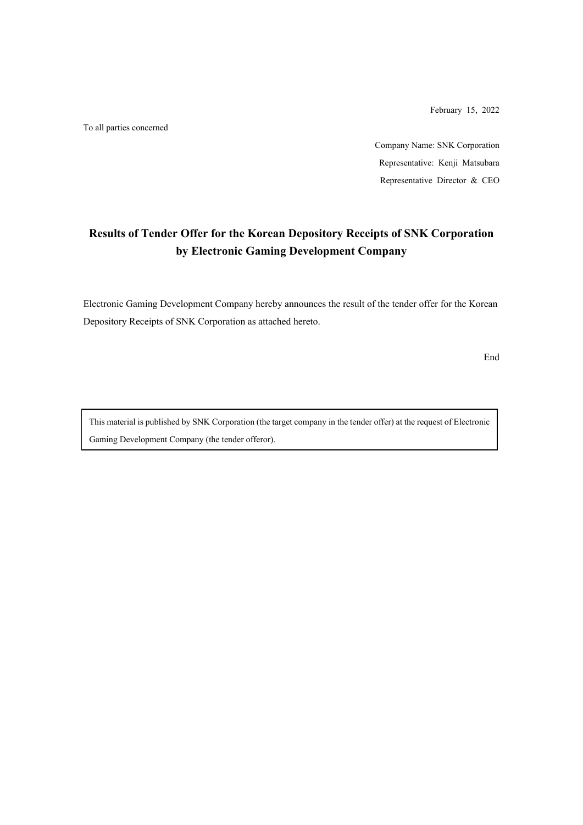February 15, 2022

To all parties concerned

Company Name: SNK Corporation Representative: Kenji Matsubara Representative Director & CEO

# **Results of Tender Offer for the Korean Depository Receipts of SNK Corporation by Electronic Gaming Development Company**

Electronic Gaming Development Company hereby announces the result of the tender offer for the Korean Depository Receipts of SNK Corporation as attached hereto.

End

This material is published by SNK Corporation (the target company in the tender offer) at the request of Electronic Gaming Development Company (the tender offeror).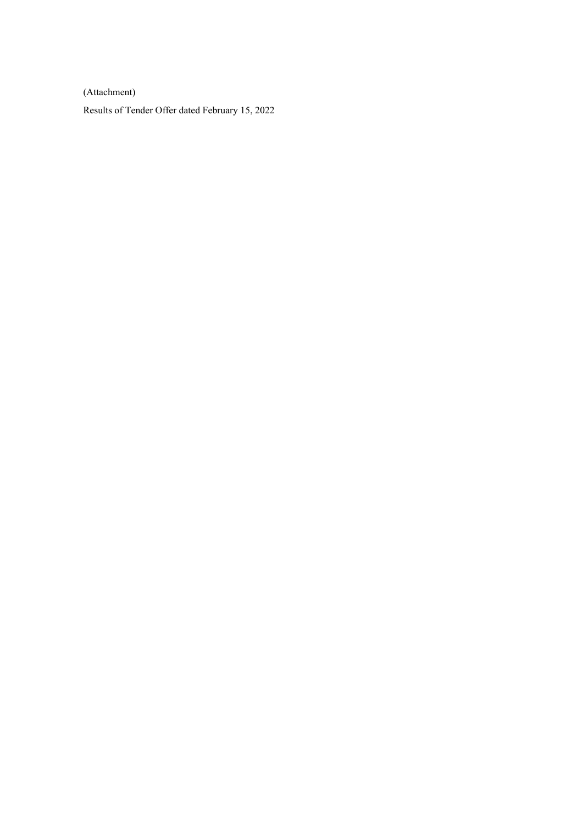(Attachment)

Results of Tender Offer dated February 15, 2022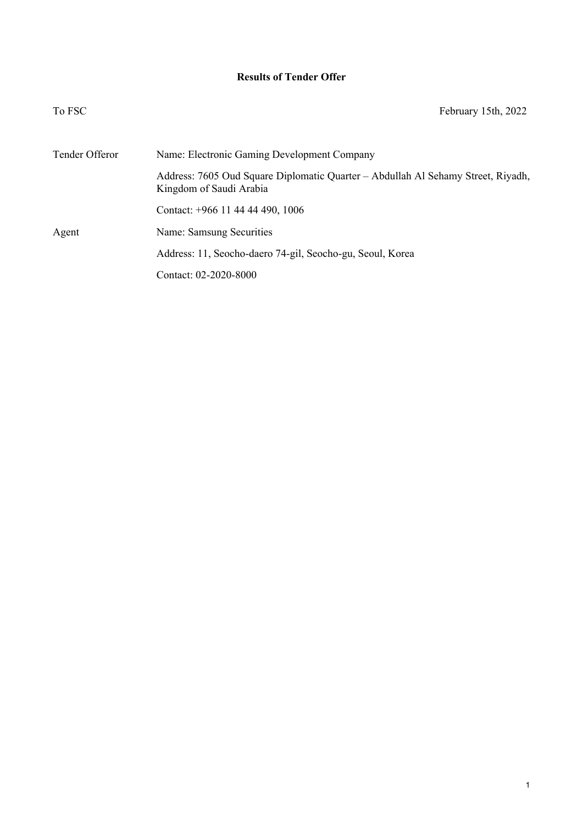## **Results of Tender Offer**

| To FSC         | February 15th, 2022                                                                                         |
|----------------|-------------------------------------------------------------------------------------------------------------|
| Tender Offeror | Name: Electronic Gaming Development Company                                                                 |
|                | Address: 7605 Oud Square Diplomatic Quarter - Abdullah Al Sehamy Street, Riyadh,<br>Kingdom of Saudi Arabia |
|                | Contact: +966 11 44 44 490, 1006                                                                            |
| Agent          | Name: Samsung Securities                                                                                    |
|                | Address: 11, Seocho-daero 74-gil, Seocho-gu, Seoul, Korea                                                   |
|                | Contact: 02-2020-8000                                                                                       |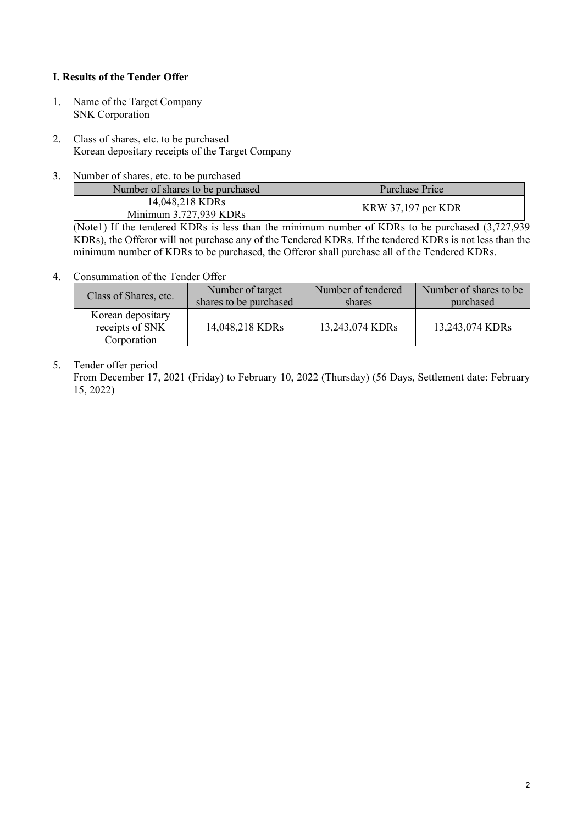#### **I. Results of the Tender Offer**

- 1. Name of the Target Company SNK Corporation
- 2. Class of shares, etc. to be purchased Korean depositary receipts of the Target Company
- 3. Number of shares, etc. to be purchased

| Number of shares to be purchased          | Purchase Price     |  |  |
|-------------------------------------------|--------------------|--|--|
| 14,048,218 KDRs<br>Minimum 3,727,939 KDRs | KRW 37,197 per KDR |  |  |

(Note1) If the tendered KDRs is less than the minimum number of KDRs to be purchased (3,727,939 KDRs), the Offeror will not purchase any of the Tendered KDRs. If the tendered KDRs is not less than the minimum number of KDRs to be purchased, the Offeror shall purchase all of the Tendered KDRs.

### 4. Consummation of the Tender Offer

| Class of Shares, etc.                               | Number of target       | Number of tendered | Number of shares to be. |
|-----------------------------------------------------|------------------------|--------------------|-------------------------|
|                                                     | shares to be purchased | shares             | purchased               |
| Korean depositary<br>receipts of SNK<br>Corporation | 14,048,218 KDRs        | 13,243,074 KDRs    | 13,243,074 KDRs         |

## 5. Tender offer period

From December 17, 2021 (Friday) to February 10, 2022 (Thursday) (56 Days, Settlement date: February 15, 2022)